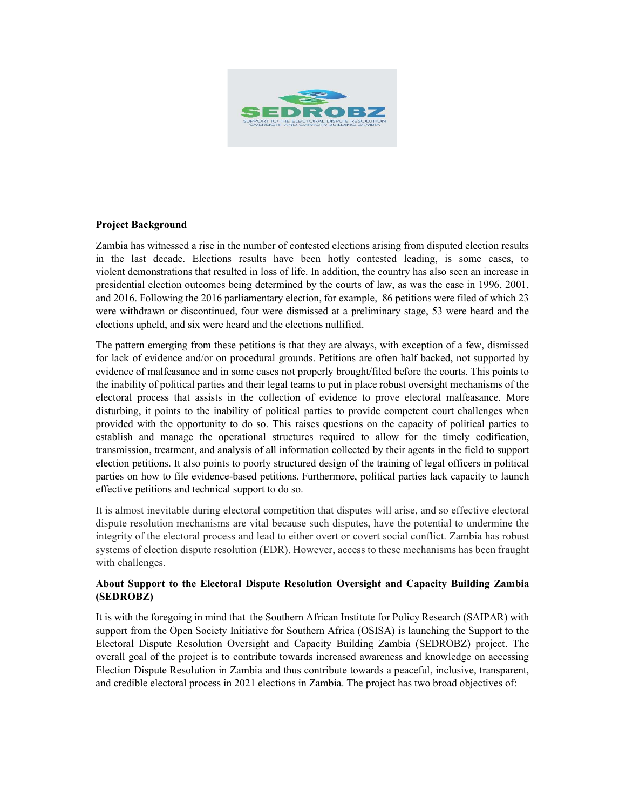

### Project Background

Zambia has witnessed a rise in the number of contested elections arising from disputed election results in the last decade. Elections results have been hotly contested leading, is some cases, to violent demonstrations that resulted in loss of life. In addition, the country has also seen an increase in presidential election outcomes being determined by the courts of law, as was the case in 1996, 2001, and 2016. Following the 2016 parliamentary election, for example, 86 petitions were filed of which 23 were withdrawn or discontinued, four were dismissed at a preliminary stage, 53 were heard and the elections upheld, and six were heard and the elections nullified.

The pattern emerging from these petitions is that they are always, with exception of a few, dismissed for lack of evidence and/or on procedural grounds. Petitions are often half backed, not supported by evidence of malfeasance and in some cases not properly brought/filed before the courts. This points to the inability of political parties and their legal teams to put in place robust oversight mechanisms of the electoral process that assists in the collection of evidence to prove electoral malfeasance. More disturbing, it points to the inability of political parties to provide competent court challenges when provided with the opportunity to do so. This raises questions on the capacity of political parties to establish and manage the operational structures required to allow for the timely codification, transmission, treatment, and analysis of all information collected by their agents in the field to support election petitions. It also points to poorly structured design of the training of legal officers in political parties on how to file evidence-based petitions. Furthermore, political parties lack capacity to launch effective petitions and technical support to do so.

It is almost inevitable during electoral competition that disputes will arise, and so effective electoral dispute resolution mechanisms are vital because such disputes, have the potential to undermine the integrity of the electoral process and lead to either overt or covert social conflict. Zambia has robust systems of election dispute resolution (EDR). However, access to these mechanisms has been fraught with challenges.

# About Support to the Electoral Dispute Resolution Oversight and Capacity Building Zambia (SEDROBZ)

It is with the foregoing in mind that the Southern African Institute for Policy Research (SAIPAR) with support from the Open Society Initiative for Southern Africa (OSISA) is launching the Support to the Electoral Dispute Resolution Oversight and Capacity Building Zambia (SEDROBZ) project. The overall goal of the project is to contribute towards increased awareness and knowledge on accessing Election Dispute Resolution in Zambia and thus contribute towards a peaceful, inclusive, transparent, and credible electoral process in 2021 elections in Zambia. The project has two broad objectives of: